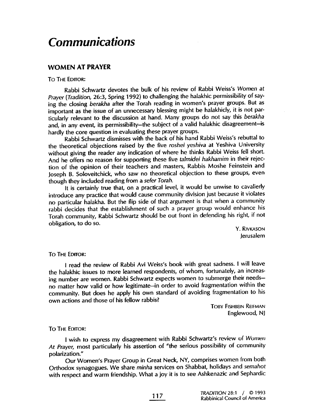# **Communications**

# WOMEN AT PRAYER

## TO THE EDITOR:

Rabbi Schwartz devotes the bulk of his review of Rabbi Weiss's Women at Prayer (Traditon, 26:3, Spring 1992) to challenging the halakhic permissibility of saying the closing berakha after the Torah reading in women's prayer groups. But as important as the issue of an unnecessary blessing might be halakhicly, it is not particularly relevant to the discussion at hand. Many groups do not say this berakha and, in any event, its permissibility-the subject of a valid halakhic disagreement-is hardly the core question in evaluating these prayer groups.

Rabbi Schwartz dismisses with the back of his hand Rabbi Weiss's rebuttal to the theoretical objections raised by the five roshei yeshiva at Yeshiva University without giving the reader any indication of where he thinks Rabbi Weiss fell short. And he offers no reason for supporting these five talmidei hakhamim in their rejection of the opinion of their teachers and masters, Rabbis Moshe Feinstein and Joseph B. Soloveitchick, who saw no theoretical objection to these groups, even though they included reading from a sefer Torah.

It is certainly true that, on a practical level, it would be unwise to cavalierly introduce any practice that would cause community division just because it violates no particular halakha. But the flip side of that argument is that when a community rabbi decides that the establishment of such a prayer group would enhance his Torah community, Rabbi Schwartz should be out front in defending his right, if not obligation, to do so.

> Y. RIVKASON Jerusalem

#### To THE EDITOR:

I read the review of Rabbi Avi Weiss's book with great sadness. I wil leave the halakhic issues to more learned respondents, of whom, fortunately, an increasing number are women. Rabbi Schwartz expects women to submerge their needsno matter how valid or how legitimate-in order to avoid fragmentation within the community. But does he apply his own standard of avoiding fragmentation to his own actions and those of his fellow rabbis?

TOBY FISHBEIN RElfMAN Englewood, Nl

### To THE EDITOR:

I wish to express my disagreement with Rabbi Schwartz's review of Women At Prayer, most particularly his assertion of "the serious possibility of community polarization. "

Our Women's Prayer Group in Great Neck, NY, comprises women from both Orthodox synagogues. We share minha services on Shabbat, holidays and semahot with respect and warm friendship. What a joy it is to see Ashkenazic and Sephardic